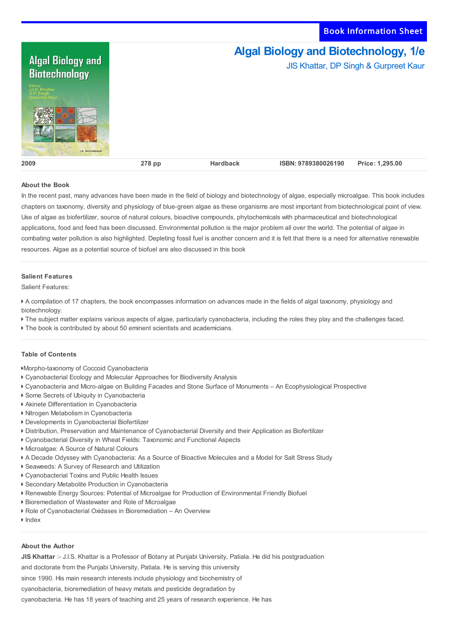Book Information Sheet



## **About the Book**

In the recent past, many advances have been made in the field of biology and biotechnology of algae, especially microalgae. This book includes chapters on taxonomy, diversity and physiology of blue-green algae as these organisms are most important from biotechnological point of view. Use of algae as biofertilizer, source of natural colours, bioactive compounds, phytochemicals with pharmaceutical and biotechnological applications, food and feed has been discussed. Environmental pollution is the major problem all over the world. The potential of algae in combating water pollution is also highlighted. Depleting fossil fuel is another concern and it is felt that there is a need for alternative renewable resources. Algae as a potential source of biofuel are also discussed in this book

## **Salient Features**

Salient Features:

 A compilation of 17 chapters, the book encompasses information on advances made in the fields of algal taxonomy, physiology and biotechnology.

- The subject matter explains various aspects of algae, particularly cyanobacteria, including the roles they play and the challenges faced.
- The book is contributed by about 50 eminent scientists and academicians.

## **Table of Contents**

Morpho-taxonomy of Coccoid Cyanobacteria

- Cyanobacterial Ecology and Molecular Approaches for Biodiversity Analysis
- Cyanobacteria and Micro-algae on Building Facades and Stone Surface of Monuments An Ecophysiological Prospective
- Some Secrets of Ubiquity in Cyanobacteria
- Akinete Differentiation in Cyanobacteria
- Nitrogen Metabolism in Cyanobacteria
- Developments in Cyanobacterial Biofertilizer
- Distribution, Preservation and Maintenance of Cyanobacterial Diversity and their Application as Biofertilizer
- Cyanobacterial Diversity in Wheat Fields: Taxonomic and Functional Aspects
- Microalgae: A Source of Natural Colours
- A Decade Odyssey with Cyanobacteria: As a Source of Bioactive Molecules and a Model for Salt Stress Study
- Seaweeds: A Survey of Research and Utilization
- Cyanobacterial Toxins and Public Health Issues
- Secondary Metabolite Production in Cyanobacteria
- Renewable Energy Sources: Potential of Microalgae for Production of Environmental Friendly Biofuel
- Bioremediation of Wastewater and Role of Microalgae
- Role of Cyanobacterial Oxidases in Bioremediation An Overview
- **Index**

## **About the Author**

**JIS Khattar** :- J.I.S. Khattar is a Professor of Botany at Punjabi University, Patiala. He did his postgraduation

and doctorate from the Punjabi University, Patiala. He is serving this university

since 1990. His main research interests include physiology and biochemistry of

cyanobacteria, bioremediation of heavy metals and pesticide degradation by

cyanobacteria. He has 18 years of teaching and 25 years of research experience. He has